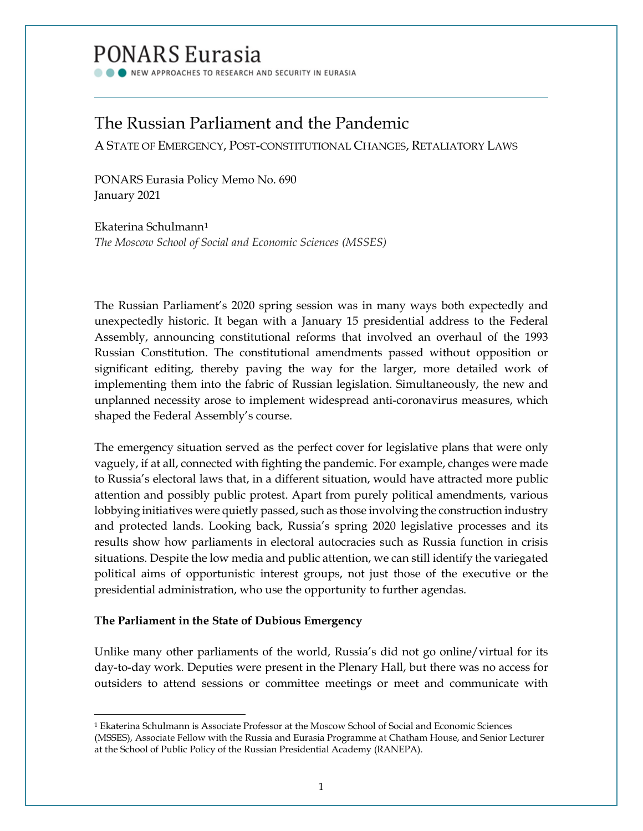# PONARS Eurasia

NEW APPROACHES TO RESEARCH AND SECURITY IN EURASIA

# The Russian Parliament and the Pandemic

A STATE OF EMERGENCY, POST-CONSTITUTIONAL CHANGES, RETALIATORY LAWS

PONARS Eurasia Policy Memo No. 690 January 2021

Ekaterina Schulmann[1](#page-0-0) *The Moscow School of Social and Economic Sciences (MSSES)*

The Russian Parliament's 2020 spring session was in many ways both expectedly and unexpectedly historic. It began with a January 15 presidential address to the Federal Assembly, announcing constitutional reforms that involved an overhaul of the 1993 Russian Constitution. The constitutional amendments passed without opposition or significant editing, thereby paving the way for the larger, more detailed work of implementing them into the fabric of Russian legislation. Simultaneously, the new and unplanned necessity arose to implement widespread anti-coronavirus measures, which shaped the Federal Assembly's course.

The emergency situation served as the perfect cover for legislative plans that were only vaguely, if at all, connected with fighting the pandemic. For example, changes were made to Russia's electoral laws that, in a different situation, would have attracted more public attention and possibly public protest. Apart from purely political amendments, various lobbying initiatives were quietly passed, such as those involving the construction industry and protected lands. Looking back, Russia's spring 2020 legislative processes and its results show how parliaments in electoral autocracies such as Russia function in crisis situations. Despite the low media and public attention, we can still identify the variegated political aims of opportunistic interest groups, not just those of the executive or the presidential administration, who use the opportunity to further agendas.

# **The Parliament in the State of Dubious Emergency**

Unlike many other parliaments of the world, Russia's did not go online/virtual for its day-to-day work. Deputies were present in the Plenary Hall, but there was no access for outsiders to attend sessions or committee meetings or meet and communicate with

<span id="page-0-0"></span><sup>1</sup> Ekaterina Schulmann is Associate Professor at the Moscow School of Social and Economic Sciences (MSSES), Associate Fellow with the Russia and Eurasia Programme at Chatham House, and Senior Lecturer at the School of Public Policy of the Russian Presidential Academy (RANEPA).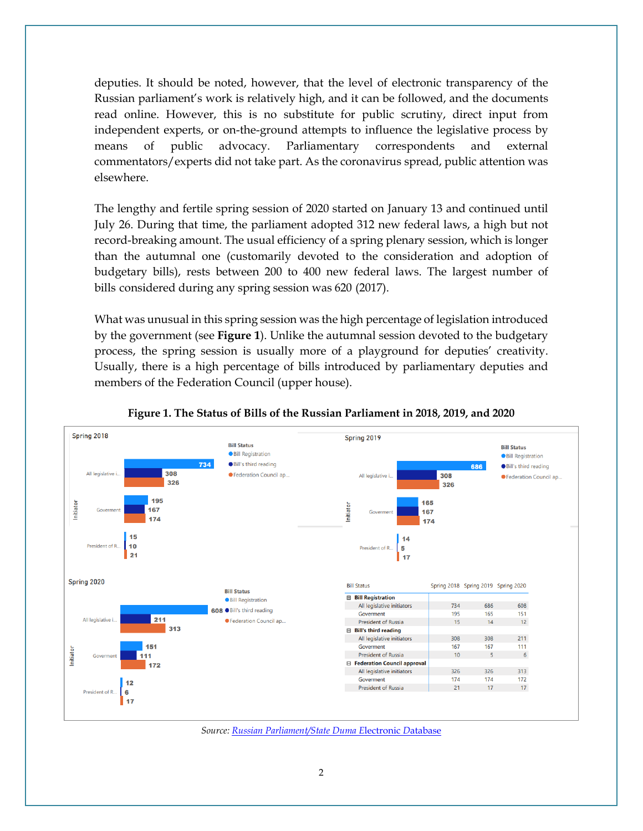deputies. It should be noted, however, that the level of electronic transparency of the Russian parliament's work is relatively high, and it can be followed, and the documents read online. However, this is no substitute for public scrutiny, direct input from independent experts, or on-the-ground attempts to influence the legislative process by means of public advocacy. Parliamentary correspondents and external commentators/experts did not take part. As the coronavirus spread, public attention was elsewhere.

The lengthy and fertile spring session of 2020 started on January 13 and continued until July 26. During that time, the parliament adopted 312 new federal laws, a high but not record-breaking amount. The usual efficiency of a spring plenary session, which is longer than the autumnal one (customarily devoted to the consideration and adoption of budgetary bills), rests between 200 to 400 new federal laws. The largest number of bills considered during any spring session was 620 (2017).

What was unusual in this spring session was the high percentage of legislation introduced by the government (see **Figure 1**). Unlike the autumnal session devoted to the budgetary process, the spring session is usually more of a playground for deputies' creativity. Usually, there is a high percentage of bills introduced by parliamentary deputies and members of the Federation Council (upper house).



#### **Figure 1. The Status of Bills of the Russian Parliament in 2018, 2019, and 2020**

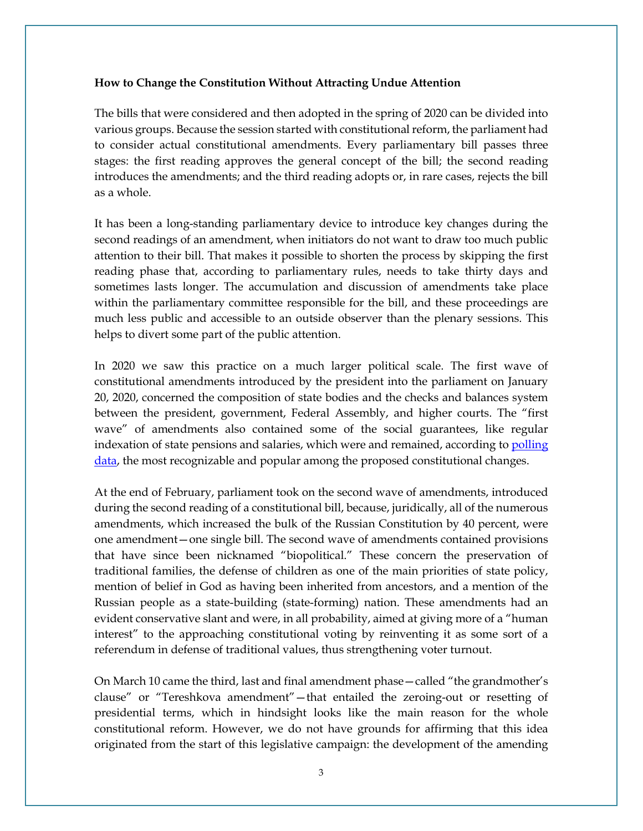#### **How to Change the Constitution Without Attracting Undue Attention**

The bills that were considered and then adopted in the spring of 2020 can be divided into various groups. Because the session started with constitutional reform, the parliament had to consider actual constitutional amendments. Every parliamentary bill passes three stages: the first reading approves the general concept of the bill; the second reading introduces the amendments; and the third reading adopts or, in rare cases, rejects the bill as a whole.

It has been a long-standing parliamentary device to introduce key changes during the second readings of an amendment, when initiators do not want to draw too much public attention to their bill. That makes it possible to shorten the process by skipping the first reading phase that, according to parliamentary rules, needs to take thirty days and sometimes lasts longer. The accumulation and discussion of amendments take place within the parliamentary committee responsible for the bill, and these proceedings are much less public and accessible to an outside observer than the plenary sessions. This helps to divert some part of the public attention.

In 2020 we saw this practice on a much larger political scale. The first wave of constitutional amendments introduced by the president into the parliament on January 20, 2020, concerned the composition of state bodies and the checks and balances system between the president, government, Federal Assembly, and higher courts. The "first wave" of amendments also contained some of the social guarantees, like regular indexation of state pensions and salaries, which were and remained, according to polling [data,](https://www.levada.ru/en/tag/constitution/) the most recognizable and popular among the proposed constitutional changes.

At the end of February, parliament took on the second wave of amendments, introduced during the second reading of a constitutional bill, because, juridically, all of the numerous amendments, which increased the bulk of the Russian Constitution by 40 percent, were one amendment—one single bill. The second wave of amendments contained provisions that have since been nicknamed "biopolitical." These concern the preservation of traditional families, the defense of children as one of the main priorities of state policy, mention of belief in God as having been inherited from ancestors, and a mention of the Russian people as a state-building (state-forming) nation. These amendments had an evident conservative slant and were, in all probability, aimed at giving more of a "human interest" to the approaching constitutional voting by reinventing it as some sort of a referendum in defense of traditional values, thus strengthening voter turnout.

On March 10 came the third, last and final amendment phase—called "the grandmother's clause" or "Tereshkova amendment"—that entailed the zeroing-out or resetting of presidential terms, which in hindsight looks like the main reason for the whole constitutional reform. However, we do not have grounds for affirming that this idea originated from the start of this legislative campaign: the development of the amending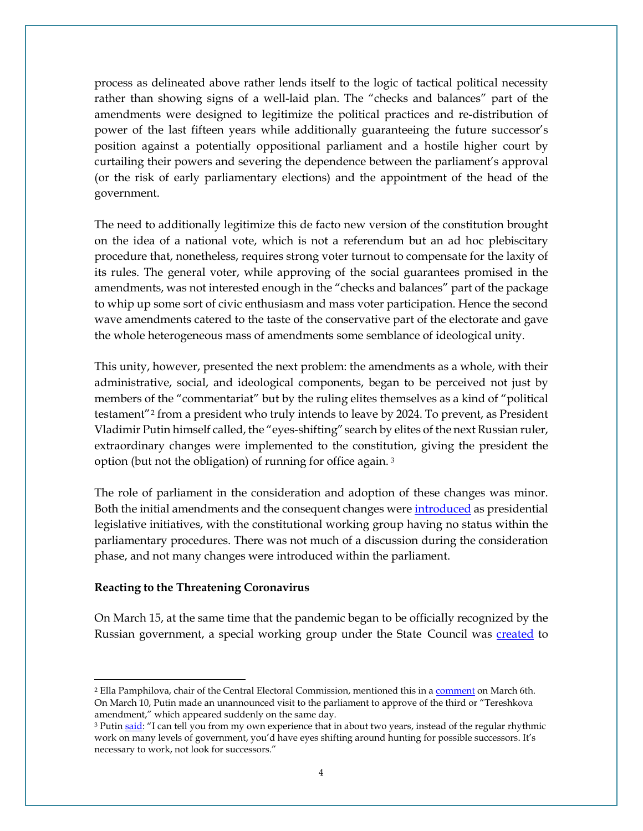process as delineated above rather lends itself to the logic of tactical political necessity rather than showing signs of a well-laid plan. The "checks and balances" part of the amendments were designed to legitimize the political practices and re-distribution of power of the last fifteen years while additionally guaranteeing the future successor's position against a potentially oppositional parliament and a hostile higher court by curtailing their powers and severing the dependence between the parliament's approval (or the risk of early parliamentary elections) and the appointment of the head of the government.

The need to additionally legitimize this de facto new version of the constitution brought on the idea of a national vote, which is not a referendum but an ad hoc plebiscitary procedure that, nonetheless, requires strong voter turnout to compensate for the laxity of its rules. The general voter, while approving of the social guarantees promised in the amendments, was not interested enough in the "checks and balances" part of the package to whip up some sort of civic enthusiasm and mass voter participation. Hence the second wave amendments catered to the taste of the conservative part of the electorate and gave the whole heterogeneous mass of amendments some semblance of ideological unity.

This unity, however, presented the next problem: the amendments as a whole, with their administrative, social, and ideological components, began to be perceived not just by members of the "commentariat" but by the ruling elites themselves as a kind of "political testament"[2](#page-3-0) from a president who truly intends to leave by 2024. To prevent, as President Vladimir Putin himself called, the "eyes-shifting" search by elites of the next Russian ruler, extraordinary changes were implemented to the constitution, giving the president the option (but not the obligation) of running for office again. [3](#page-3-1) 

The role of parliament in the consideration and adoption of these changes was minor. Both the initial amendments and the consequent changes were [introduced](http://en.kremlin.ru/events/president/news/62589) as presidential legislative initiatives, with the constitutional working group having no status within the parliamentary procedures. There was not much of a discussion during the consideration phase, and not many changes were introduced within the parliament.

#### **Reacting to the Threatening Coronavirus**

On March 15, at the same time that the pandemic began to be officially recognized by the Russian government, a special working group under the State Council was **created** to

<span id="page-3-0"></span><sup>&</sup>lt;sup>2</sup> Ella Pamphilova, chair of the Central Electoral Commission, mentioned this in a [comment](https://www.interfax.ru/russia/698097) on March 6th. On March 10, Putin made an unannounced visit to the parliament to approve of the third or "Tereshkova amendment," which appeared suddenly on the same day.

<span id="page-3-1"></span><sup>&</sup>lt;sup>3</sup> Putin [said:](https://time.com/5857003/vladimir-putin-russia-fifth-presidential-term/) "I can tell you from my own experience that in about two years, instead of the regular rhythmic work on many levels of government, you'd have eyes shifting around hunting for possible successors. It's necessary to work, not look for successors."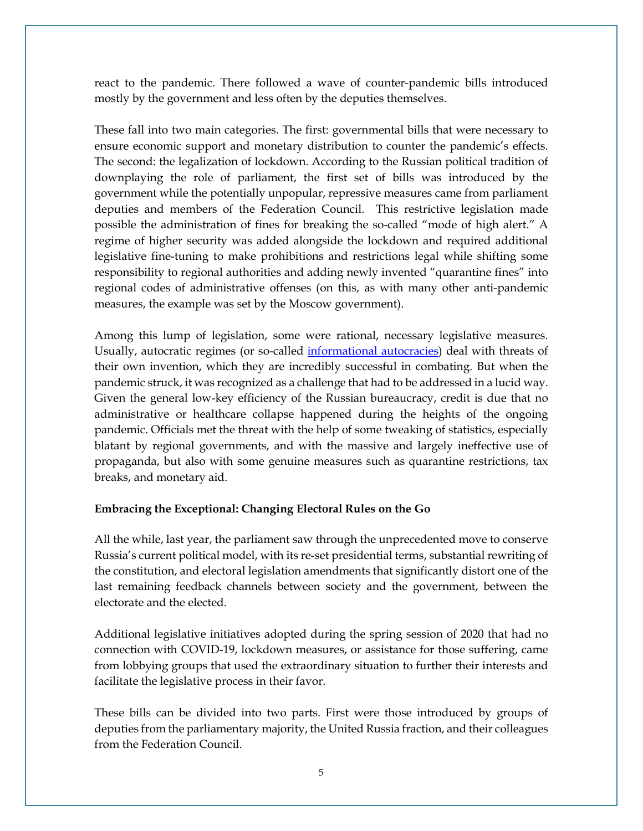react to the pandemic. There followed a wave of counter-pandemic bills introduced mostly by the government and less often by the deputies themselves.

These fall into two main categories. The first: governmental bills that were necessary to ensure economic support and monetary distribution to counter the pandemic's effects. The second: the legalization of lockdown. According to the Russian political tradition of downplaying the role of parliament, the first set of bills was introduced by the government while the potentially unpopular, repressive measures came from parliament deputies and members of the Federation Council. This restrictive legislation made possible the administration of fines for breaking the so-called "mode of high alert." A regime of higher security was added alongside the lockdown and required additional legislative fine-tuning to make prohibitions and restrictions legal while shifting some responsibility to regional authorities and adding newly invented "quarantine fines" into regional codes of administrative offenses (on this, as with many other anti-pandemic measures, the example was set by the Moscow government).

Among this lump of legislation, some were rational, necessary legislative measures. Usually, autocratic regimes (or so-called [informational autocracies\)](https://www.aeaweb.org/articles?id=10.1257/jep.33.4.100) deal with threats of their own invention, which they are incredibly successful in combating. But when the pandemic struck, it was recognized as a challenge that had to be addressed in a lucid way. Given the general low-key efficiency of the Russian bureaucracy, credit is due that no administrative or healthcare collapse happened during the heights of the ongoing pandemic. Officials met the threat with the help of some tweaking of statistics, especially blatant by regional governments, and with the massive and largely ineffective use of propaganda, but also with some genuine measures such as quarantine restrictions, tax breaks, and monetary aid.

# **Embracing the Exceptional: Changing Electoral Rules on the Go**

All the while, last year, the parliament saw through the unprecedented move to conserve Russia's current political model, with its re-set presidential terms, substantial rewriting of the constitution, and electoral legislation amendments that significantly distort one of the last remaining feedback channels between society and the government, between the electorate and the elected.

Additional legislative initiatives adopted during the spring session of 2020 that had no connection with COVID-19, lockdown measures, or assistance for those suffering, came from lobbying groups that used the extraordinary situation to further their interests and facilitate the legislative process in their favor.

These bills can be divided into two parts. First were those introduced by groups of deputies from the parliamentary majority, the United Russia fraction, and their colleagues from the Federation Council.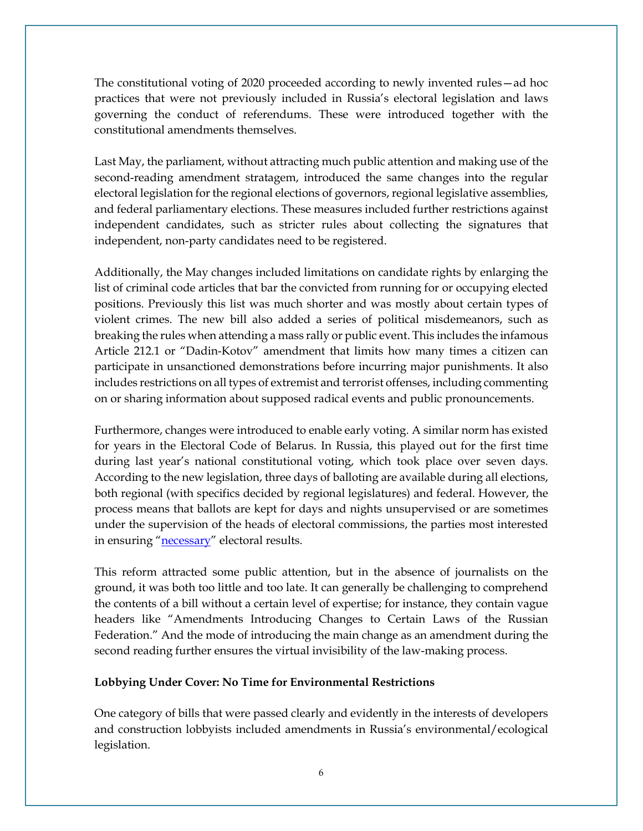The constitutional voting of 2020 proceeded according to newly invented rules—ad hoc practices that were not previously included in Russia's electoral legislation and laws governing the conduct of referendums. These were introduced together with the constitutional amendments themselves.

Last May, the parliament, without attracting much public attention and making use of the second-reading amendment stratagem, introduced the same changes into the regular electoral legislation for the regional elections of governors, regional legislative assemblies, and federal parliamentary elections. These measures included further restrictions against independent candidates, such as stricter rules about collecting the signatures that independent, non-party candidates need to be registered.

Additionally, the May changes included limitations on candidate rights by enlarging the list of criminal code articles that bar the convicted from running for or occupying elected positions. Previously this list was much shorter and was mostly about certain types of violent crimes. The new bill also added a series of political misdemeanors, such as breaking the rules when attending a mass rally or public event. This includes the infamous Article 212.1 or "Dadin-Kotov" amendment that limits how many times a citizen can participate in unsanctioned demonstrations before incurring major punishments. It also includes restrictions on all types of extremist and terrorist offenses, including commenting on or sharing information about supposed radical events and public pronouncements.

Furthermore, changes were introduced to enable early voting. A similar norm has existed for years in the Electoral Code of Belarus. In Russia, this played out for the first time during last year's national constitutional voting, which took place over seven days. According to the new legislation, three days of balloting are available during all elections, both regional (with specifics decided by regional legislatures) and federal. However, the process means that ballots are kept for days and nights unsupervised or are sometimes under the supervision of the heads of electoral commissions, the parties most interested in ensuring ["necessary"](https://www.aljazeera.com/news/2020/5/24/putin-changes-russias-electoral-law-to-allow-remote-vote) electoral results.

This reform attracted some public attention, but in the absence of journalists on the ground, it was both too little and too late. It can generally be challenging to comprehend the contents of a bill without a certain level of expertise; for instance, they contain vague headers like "Amendments Introducing Changes to Certain Laws of the Russian Federation." And the mode of introducing the main change as an amendment during the second reading further ensures the virtual invisibility of the law-making process.

# **Lobbying Under Cover: No Time for Environmental Restrictions**

One category of bills that were passed clearly and evidently in the interests of developers and construction lobbyists included amendments in Russia's environmental/ecological legislation.